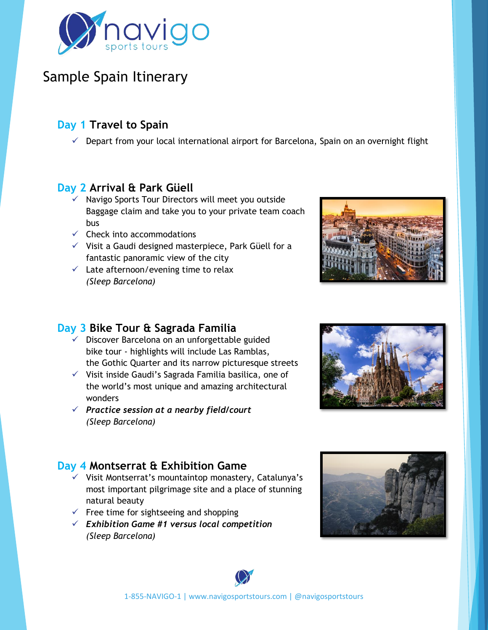

## Sample Spain Itinerary

### **Day 1 Travel to Spain**

 $\checkmark$  Depart from your local international airport for Barcelona, Spain on an overnight flight

### **Day 2 Arrival & Park Güell**

- ✓ Navigo Sports Tour Directors will meet you outside Baggage claim and take you to your private team coach bus
- $\checkmark$  Check into accommodations
- ✓ Visit a Gaudi designed masterpiece, Park Güell for a fantastic panoramic view of the city
- $\checkmark$  Late afternoon/evening time to relax *(Sleep Barcelona)*



#### **Day 3 Bike Tour & Sagrada Familia**

- $\checkmark$  Discover Barcelona on an unforgettable guided bike tour - highlights will include Las Ramblas, the Gothic Quarter and its narrow picturesque streets
- ✓ Visit inside Gaudi's Sagrada Familia basilica, one of the world's most unique and amazing architectural wonders
- ✓ *Practice session at a nearby field/court (Sleep Barcelona)*

### **Day 4 Montserrat & Exhibition Game**

- ✓ Visit Montserrat's mountaintop monastery, Catalunya's most important pilgrimage site and a place of stunning natural beauty
- $\checkmark$  Free time for sightseeing and shopping
- ✓ *Exhibition Game #1 versus local competition (Sleep Barcelona)*